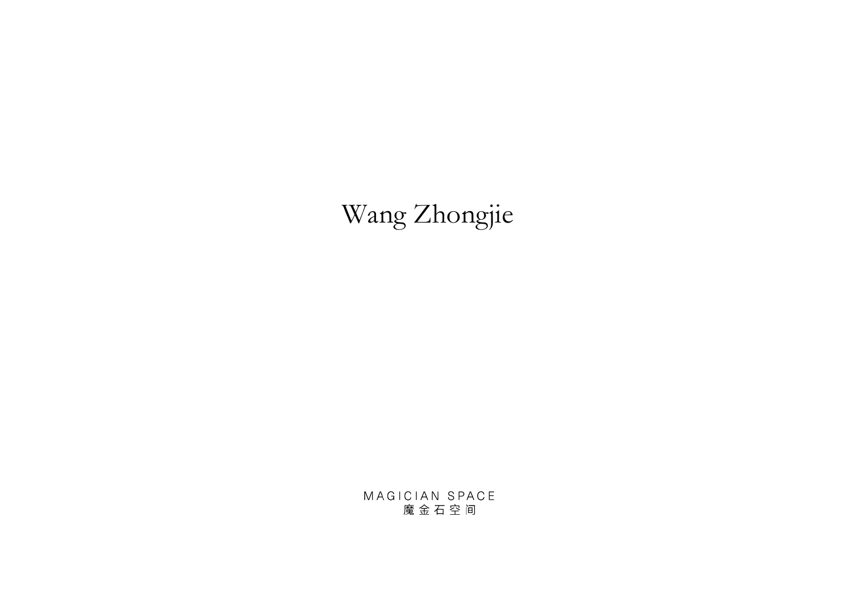## Wang Zhongjie

MAGICIAN SPACE<br>魔金石空间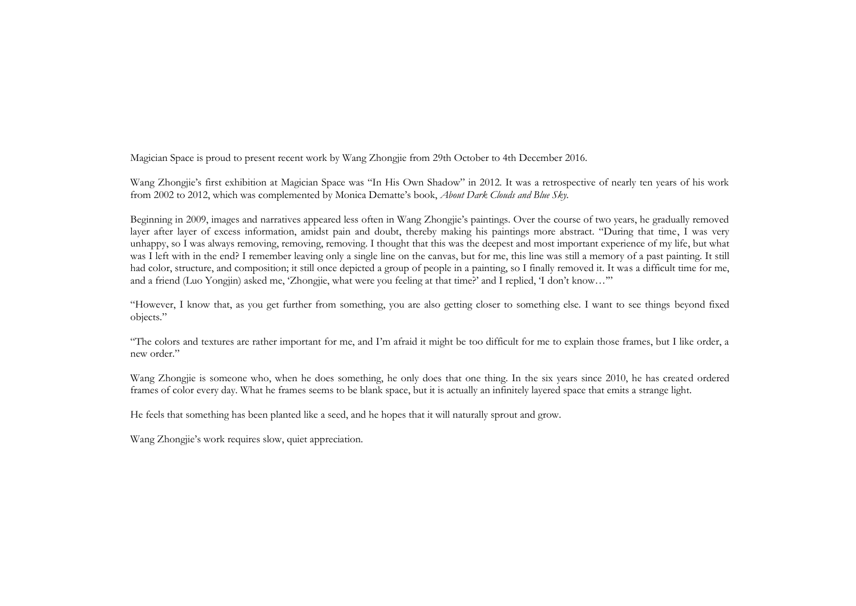Magician Space is proud to present recent work by Wang Zhongjie from 29th October to 4th December 2016.

Wang Zhongjie's first exhibition at Magician Space was "In His Own Shadow" in 2012. It was a retrospective of nearly ten years of his work from 2002 to 2012, which was complemented by Monica Dematte's book, *About Dark Clouds and Blue Sky.* 

Beginning in 2009, images and narratives appeared less often in Wang Zhongjie's paintings. Over the course of two years, he gradually removed layer after layer of excess information, amidst pain and doubt, thereby making his paintings more abstract. "During that time, I was very unhappy, so I was always removing, removing, removing. I thought that this was the deepest and most important experience of my life, but what was I left with in the end? I remember leaving only a single line on the canvas, but for me, this line was still a memory of a past painting. It still had color, structure, and composition; it still once depicted a group of people in a painting, so I finally removed it. It was a difficult time for me, and a friend (Luo Yongjin) asked me, 'Zhongjie, what were you feeling at that time?' and I replied, 'I don't know…'"

"However, I know that, as you get further from something, you are also getting closer to something else. I want to see things beyond fixed objects."

"The colors and textures are rather important for me, and I'm afraid it might be too difficult for me to explain those frames, but I like order, a new order."

Wang Zhongjie is someone who, when he does something, he only does that one thing. In the six years since 2010, he has created ordered frames of color every day. What he frames seems to be blank space, but it is actually an infinitely layered space that emits a strange light.

He feels that something has been planted like a seed, and he hopes that it will naturally sprout and grow.

Wang Zhongjie's work requires slow, quiet appreciation.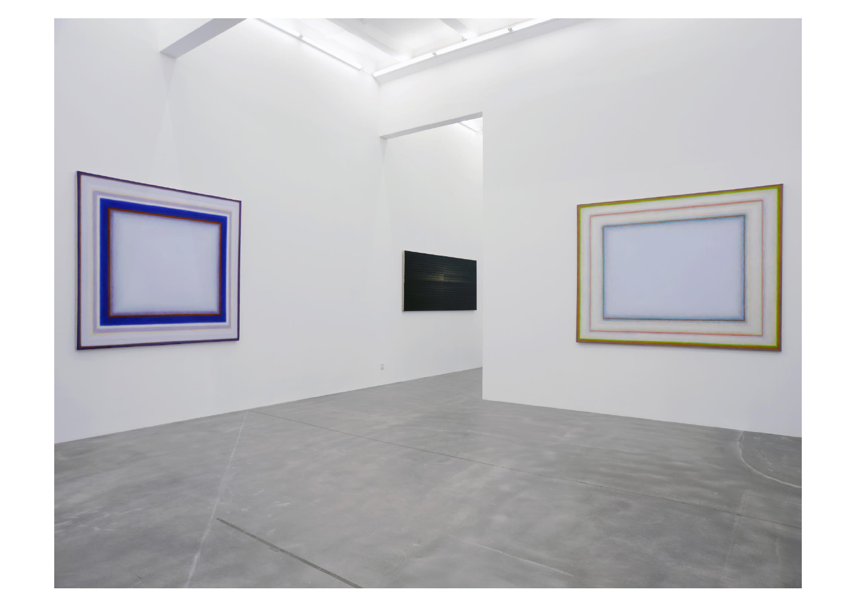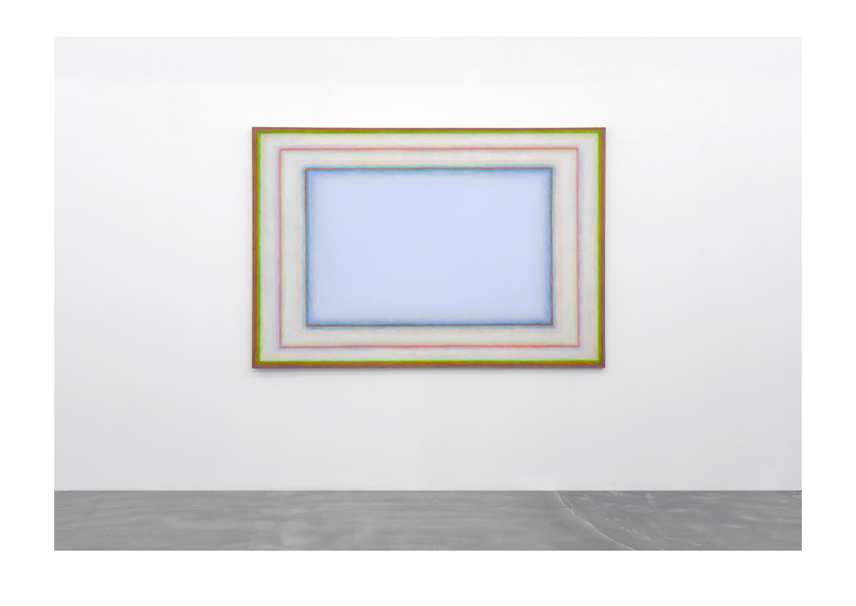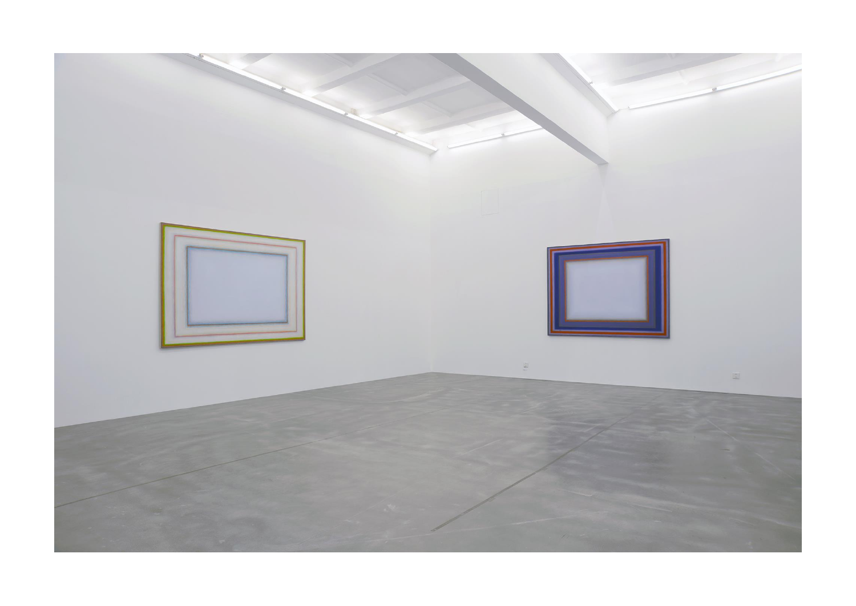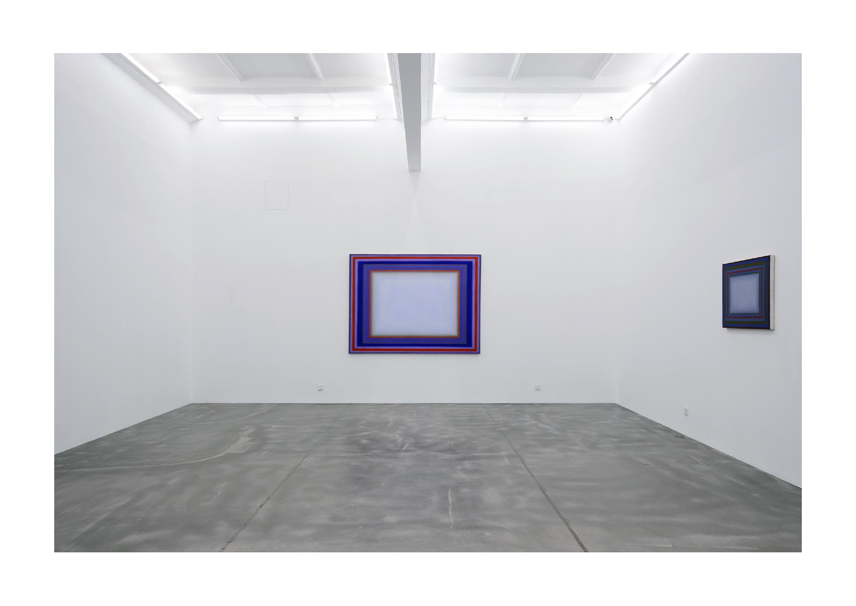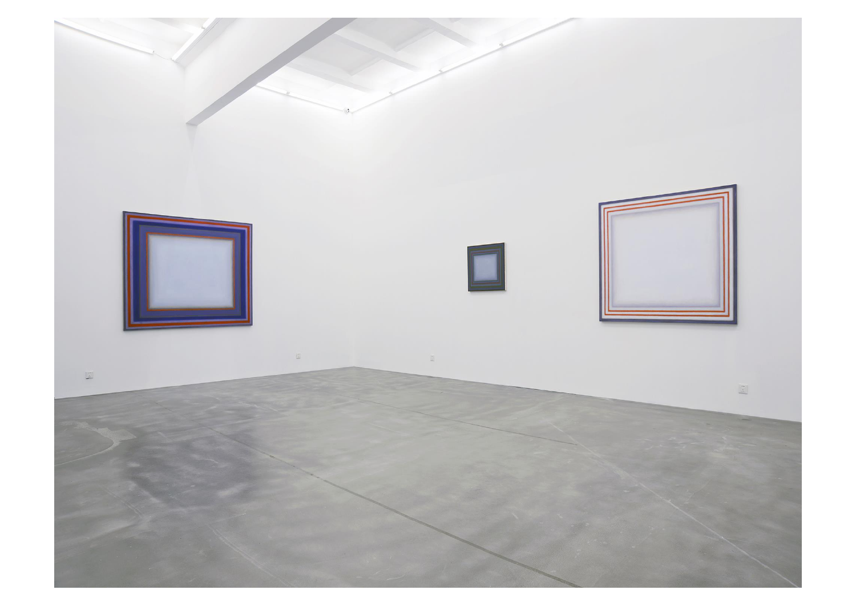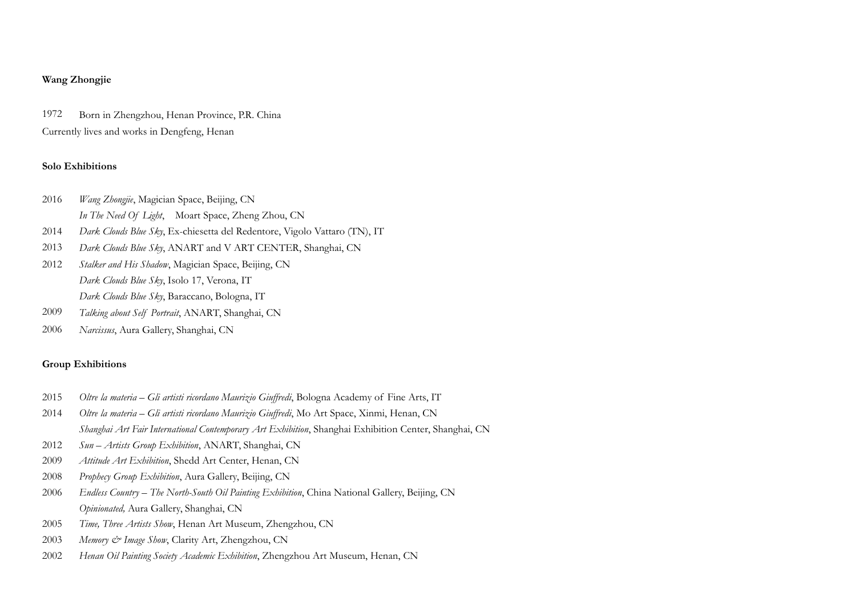#### **Wang Zhongjie**

 Born in Zhengzhou, Henan Province, P.R. China Currently lives and works in Dengfeng, Henan

#### **Solo Exhibitions**

- *Wang Zhongjie*, Magician Space, Beijing, CN *In The Need Of Light*, Moart Space, Zheng Zhou, CN
- *Dark Clouds Blue Sky*, Ex-chiesetta del Redentore, Vigolo Vattaro (TN), IT
- *Dark Clouds BlueSky*, ANART and V ART CENTER, Shanghai, CN
- *Stalker and His Shadow*, Magician Space, Beijing, CN *Dark Clouds BlueSky*, Isolo 17, Verona, IT *Dark Clouds BlueSky*, Baraccano, Bologna, IT
- *Talking about Self Portrait*, ANART, Shanghai, CN
- *Narcissus*, Aura Gallery, Shanghai, CN

#### **Group Exhibitions**

- *Oltrela materia – Gli artisti ricordano Maurizio Giuf redi*, Bologna Academy of Fine Arts, IT
- *Oltrela materia – Gli artisti ricordano Maurizio Giuf redi*, Mo Art Space, Xinmi, Henan, CN *Shanghai Art Fair International Contemporary ArtExhibition*, Shanghai Exhibition Center, Shanghai, CN
- *Sun – Artists Group Exhibition*, ANART, Shanghai, CN
- *Attitude Art Exhibition*, Shedd Art Center, Henan, CN
- *Prophecy Group Exhibition*, Aura Gallery, Beijing, CN
- *Endless Country – The North-South Oil Painting Exhibition*, China National Gallery, Beijing, CN *Opinionated,* Aura Gallery, Shanghai, CN
- *Time, Three Artists Show*, Henan Art Museum, Zhengzhou, CN
- *Memory & Image Show*, Clarity Art, Zhengzhou, CN
- *Henan Oil Painting Society Academic Exhibition*, Zhengzhou Art Museum, Henan, CN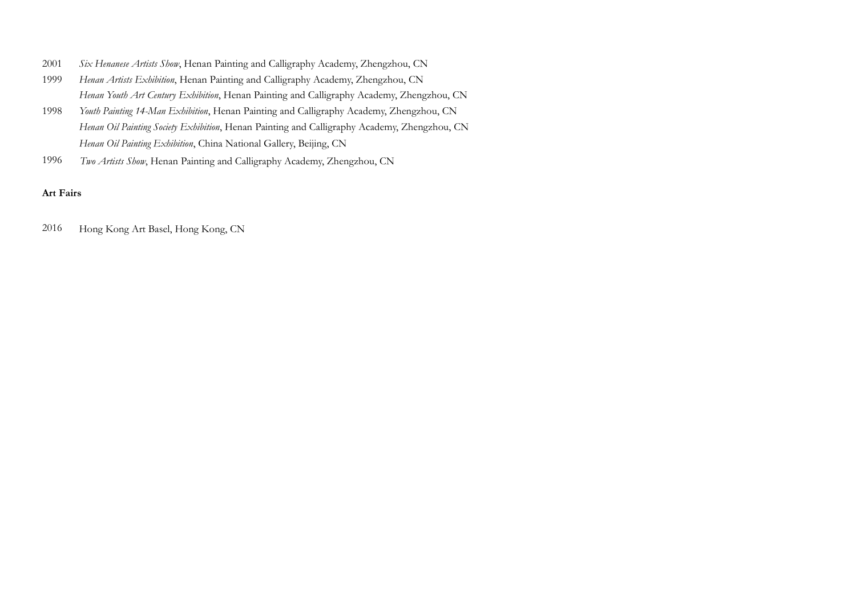- 2001 *Six Henanese Artists Show*, Henan Painting and Calligraphy Academy, Zhengzhou, CN
- 1999 *Henan Artists Exhibition*, Henan Painting and Calligraphy Academy, Zhengzhou, CN *Henan Youth Art Century Exhibition*, Henan Painting and Calligraphy Academy, Zhengzhou, CN
- 1998 *Youth Painting 14-Man Exhibition*, Henan Painting and Calligraphy Academy, Zhengzhou, CN *Henan Oil Painting Society Exhibition*, Henan Painting and Calligraphy Academy, Zhengzhou, CN *Henan Oil Painting Exhibition*, China National Gallery, Beijing, CN
- 1996 *Two Artists Show*, Henan Painting and Calligraphy Academy, Zhengzhou, CN

### **Art Fairs**

2016 Hong Kong Art Basel, Hong Kong, CN